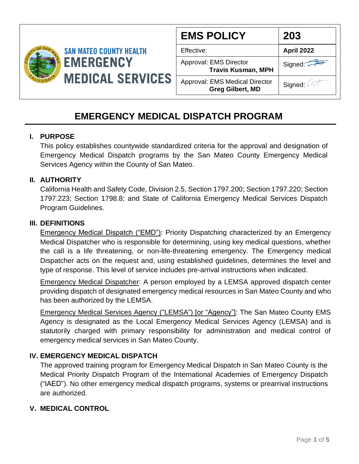

| <b>EMS POLICY</b>                                                | 203        |
|------------------------------------------------------------------|------------|
| Effective:                                                       | April 2022 |
| Approval: EMS Director<br><b>Travis Kusman, MPH</b>              | Signed:    |
| <b>Approval: EMS Medical Director</b><br><b>Greg Gilbert, MD</b> | Signed: 2  |

# **EMERGENCY MEDICAL DISPATCH PROGRAM**

## **I. PURPOSE**

This policy establishes countywide standardized criteria for the approval and designation of Emergency Medical Dispatch programs by the San Mateo County Emergency Medical Services Agency within the County of San Mateo.

## **II. AUTHORITY**

California Health and Safety Code, Division 2.5, Section 1797.200; Section 1797.220; Section 1797.223; Section 1798.8; and State of California Emergency Medical Services Dispatch Program Guidelines.

#### **III. DEFINITIONS**

Emergency Medical Dispatch ("EMD"): Priority Dispatching characterized by an Emergency Medical Dispatcher who is responsible for determining, using key medical questions, whether the call is a life threatening, or non-life-threatening emergency. The Emergency medical Dispatcher acts on the request and, using established guidelines, determines the level and type of response. This level of service includes pre-arrival instructions when indicated.

Emergency Medical Dispatcher: A person employed by a LEMSA approved dispatch center providing dispatch of designated emergency medical resources in San Mateo County and who has been authorized by the LEMSA.

Emergency Medical Services Agency ("LEMSA") [or "Agency"]: The San Mateo County EMS Agency is designated as the Local Emergency Medical Services Agency (LEMSA) and is statutorily charged with primary responsibility for administration and medical control of emergency medical services in San Mateo County.

# **IV. EMERGENCY MEDICAL DISPATCH**

The approved training program for Emergency Medical Dispatch in San Mateo County is the Medical Priority Dispatch Program of the International Academies of Emergency Dispatch ("IAED"). No other emergency medical dispatch programs, systems or prearrival instructions are authorized.

# **V. MEDICAL CONTROL**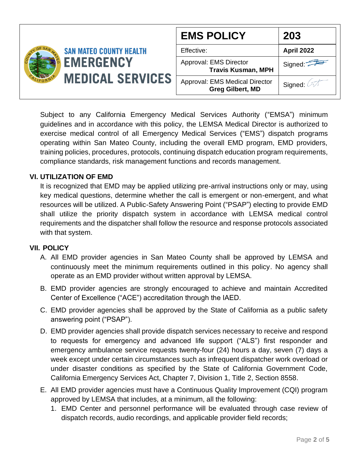|                                             | <b>EMS POLICY</b>                                         | 203                             |
|---------------------------------------------|-----------------------------------------------------------|---------------------------------|
| <b>SAN MATEO COUNTY HEALTH</b>              | Effective:                                                | <b>April 2022</b>               |
| <b>EMERGENCY</b><br><b>MEDICAL SERVICES</b> | Approval: EMS Director<br><b>Travis Kusman, MPH</b>       | Signed $\overline{\phantom{a}}$ |
|                                             | Approval: EMS Medical Director<br><b>Greg Gilbert, MD</b> | Signed:                         |

Subject to any California Emergency Medical Services Authority ("EMSA") minimum guidelines and in accordance with this policy, the LEMSA Medical Director is authorized to exercise medical control of all Emergency Medical Services ("EMS") dispatch programs operating within San Mateo County, including the overall EMD program, EMD providers, training policies, procedures, protocols, continuing dispatch education program requirements, compliance standards, risk management functions and records management.

# **VI. UTILIZATION OF EMD**

It is recognized that EMD may be applied utilizing pre-arrival instructions only or may, using key medical questions, determine whether the call is emergent or non-emergent, and what resources will be utilized. A Public-Safety Answering Point ("PSAP") electing to provide EMD shall utilize the priority dispatch system in accordance with LEMSA medical control requirements and the dispatcher shall follow the resource and response protocols associated with that system.

#### **VII. POLICY**

- A. All EMD provider agencies in San Mateo County shall be approved by LEMSA and continuously meet the minimum requirements outlined in this policy. No agency shall operate as an EMD provider without written approval by LEMSA.
- B. EMD provider agencies are strongly encouraged to achieve and maintain Accredited Center of Excellence ("ACE") accreditation through the IAED.
- C. EMD provider agencies shall be approved by the State of California as a public safety answering point ("PSAP").
- D. EMD provider agencies shall provide dispatch services necessary to receive and respond to requests for emergency and advanced life support ("ALS") first responder and emergency ambulance service requests twenty-four (24) hours a day, seven (7) days a week except under certain circumstances such as infrequent dispatcher work overload or under disaster conditions as specified by the State of California Government Code, California Emergency Services Act, Chapter 7, Division 1, Title 2, Section 8558.
- E. All EMD provider agencies must have a Continuous Quality Improvement (CQI) program approved by LEMSA that includes, at a minimum, all the following:
	- 1. EMD Center and personnel performance will be evaluated through case review of dispatch records, audio recordings, and applicable provider field records;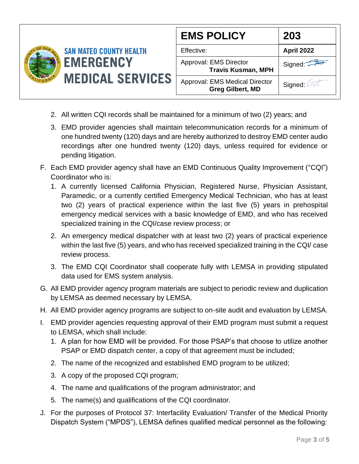

- 2. All written CQI records shall be maintained for a minimum of two (2) years; and
- 3. EMD provider agencies shall maintain telecommunication records for a minimum of one hundred twenty (120) days and are hereby authorized to destroy EMD center audio recordings after one hundred twenty (120) days, unless required for evidence or pending litigation.
- F. Each EMD provider agency shall have an EMD Continuous Quality Improvement ("CQI") Coordinator who is:
	- 1. A currently licensed California Physician, Registered Nurse, Physician Assistant, Paramedic, or a currently certified Emergency Medical Technician, who has at least two (2) years of practical experience within the last five (5) years in prehospital emergency medical services with a basic knowledge of EMD, and who has received specialized training in the CQI/case review process; or
	- 2. An emergency medical dispatcher with at least two (2) years of practical experience within the last five (5) years, and who has received specialized training in the CQI/ case review process.
	- 3. The EMD CQI Coordinator shall cooperate fully with LEMSA in providing stipulated data used for EMS system analysis.
- G. All EMD provider agency program materials are subject to periodic review and duplication by LEMSA as deemed necessary by LEMSA.
- H. All EMD provider agency programs are subject to on-site audit and evaluation by LEMSA.
- I. EMD provider agencies requesting approval of their EMD program must submit a request to LEMSA, which shall include:
	- 1. A plan for how EMD will be provided. For those PSAP's that choose to utilize another PSAP or EMD dispatch center, a copy of that agreement must be included;
	- 2. The name of the recognized and established EMD program to be utilized;
	- 3. A copy of the proposed CQI program;
	- 4. The name and qualifications of the program administrator; and
	- 5. The name(s) and qualifications of the CQI coordinator.
- J. For the purposes of Protocol 37: Interfacility Evaluation/ Transfer of the Medical Priority Dispatch System ("MPDS"), LEMSA defines qualified medical personnel as the following: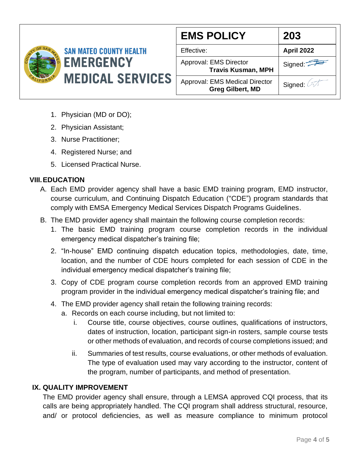

| <b>EMS POLICY</b>                                                | 203                |
|------------------------------------------------------------------|--------------------|
| Effective:                                                       | April 2022         |
| Approval: EMS Director<br><b>Travis Kusman, MPH</b>              | Signed: $\sqrt{2}$ |
| <b>Approval: EMS Medical Director</b><br><b>Greg Gilbert, MD</b> | Signed:            |

- 1. Physician (MD or DO);
- 2. Physician Assistant;
- 3. Nurse Practitioner;
- 4. Registered Nurse; and
- 5. Licensed Practical Nurse.

## **VIII.EDUCATION**

- A. Each EMD provider agency shall have a basic EMD training program, EMD instructor, course curriculum, and Continuing Dispatch Education ("CDE") program standards that comply with EMSA Emergency Medical Services Dispatch Programs Guidelines.
- B. The EMD provider agency shall maintain the following course completion records:
	- 1. The basic EMD training program course completion records in the individual emergency medical dispatcher's training file;
	- 2. "In-house" EMD continuing dispatch education topics, methodologies, date, time, location, and the number of CDE hours completed for each session of CDE in the individual emergency medical dispatcher's training file;
	- 3. Copy of CDE program course completion records from an approved EMD training program provider in the individual emergency medical dispatcher's training file; and
	- 4. The EMD provider agency shall retain the following training records:
		- a. Records on each course including, but not limited to:
			- i. Course title, course objectives, course outlines, qualifications of instructors, dates of instruction, location, participant sign-in rosters, sample course tests or other methods of evaluation, and records of course completions issued; and
			- ii. Summaries of test results, course evaluations, or other methods of evaluation. The type of evaluation used may vary according to the instructor, content of the program, number of participants, and method of presentation.

#### **IX. QUALITY IMPROVEMENT**

The EMD provider agency shall ensure, through a LEMSA approved CQI process, that its calls are being appropriately handled. The CQI program shall address structural, resource, and/ or protocol deficiencies, as well as measure compliance to minimum protocol